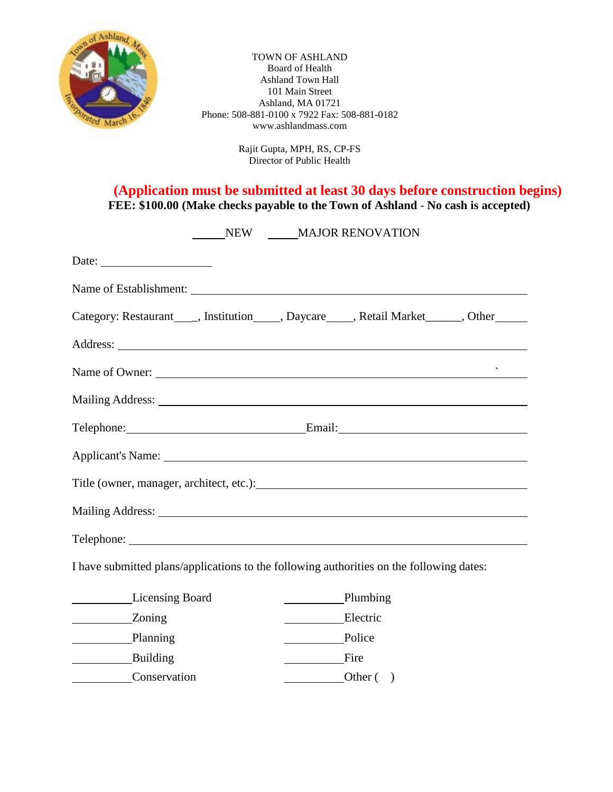

TOWN OF ASHLAND Board of Health Ashland Town Hall 101 Main Street Ashland, MA 01721 Phone: 508-881-0100 x 7922 Fax: 508-881-0182 www.ashlandmass.com

> Rajit Gupta, MPH, RS, CP-FS Director of Public Health

**(Application must be submitted at least 30 days before construction begins) FEE: \$100.00 (Make checks payable to the Town of Ashland** - **No cash is accepted)**

| NEW MAJOR RENOVATION                                                                     |  |                                                                                                                                                                                                                                                                                                                                                                                                                      |             |  |  |  |  |  |
|------------------------------------------------------------------------------------------|--|----------------------------------------------------------------------------------------------------------------------------------------------------------------------------------------------------------------------------------------------------------------------------------------------------------------------------------------------------------------------------------------------------------------------|-------------|--|--|--|--|--|
| Date: $\qquad \qquad$                                                                    |  |                                                                                                                                                                                                                                                                                                                                                                                                                      |             |  |  |  |  |  |
|                                                                                          |  |                                                                                                                                                                                                                                                                                                                                                                                                                      |             |  |  |  |  |  |
|                                                                                          |  |                                                                                                                                                                                                                                                                                                                                                                                                                      |             |  |  |  |  |  |
|                                                                                          |  |                                                                                                                                                                                                                                                                                                                                                                                                                      |             |  |  |  |  |  |
| Name of Owner:                                                                           |  |                                                                                                                                                                                                                                                                                                                                                                                                                      |             |  |  |  |  |  |
|                                                                                          |  |                                                                                                                                                                                                                                                                                                                                                                                                                      |             |  |  |  |  |  |
| Telephone: Email: Email:                                                                 |  |                                                                                                                                                                                                                                                                                                                                                                                                                      |             |  |  |  |  |  |
|                                                                                          |  |                                                                                                                                                                                                                                                                                                                                                                                                                      |             |  |  |  |  |  |
|                                                                                          |  |                                                                                                                                                                                                                                                                                                                                                                                                                      |             |  |  |  |  |  |
|                                                                                          |  |                                                                                                                                                                                                                                                                                                                                                                                                                      |             |  |  |  |  |  |
|                                                                                          |  |                                                                                                                                                                                                                                                                                                                                                                                                                      |             |  |  |  |  |  |
| I have submitted plans/applications to the following authorities on the following dates: |  |                                                                                                                                                                                                                                                                                                                                                                                                                      |             |  |  |  |  |  |
| Licensing Board                                                                          |  | Plumbing                                                                                                                                                                                                                                                                                                                                                                                                             |             |  |  |  |  |  |
|                                                                                          |  | Electric                                                                                                                                                                                                                                                                                                                                                                                                             |             |  |  |  |  |  |
| Planning                                                                                 |  | Police                                                                                                                                                                                                                                                                                                                                                                                                               |             |  |  |  |  |  |
| Building                                                                                 |  | $\frac{1}{\sqrt{1-\frac{1}{2}}\sqrt{1-\frac{1}{2}}\sqrt{1-\frac{1}{2}}\sqrt{1-\frac{1}{2}}\sqrt{1-\frac{1}{2}}\sqrt{1-\frac{1}{2}}\sqrt{1-\frac{1}{2}}\sqrt{1-\frac{1}{2}}\sqrt{1-\frac{1}{2}}\sqrt{1-\frac{1}{2}}\sqrt{1-\frac{1}{2}}\sqrt{1-\frac{1}{2}}\sqrt{1-\frac{1}{2}}\sqrt{1-\frac{1}{2}}\sqrt{1-\frac{1}{2}}\sqrt{1-\frac{1}{2}}\sqrt{1-\frac{1}{2}}\sqrt{1-\frac{1}{2}}\sqrt{1-\frac{1}{2}}\sqrt{1-\frac$ |             |  |  |  |  |  |
| Conservation                                                                             |  |                                                                                                                                                                                                                                                                                                                                                                                                                      | Other $( )$ |  |  |  |  |  |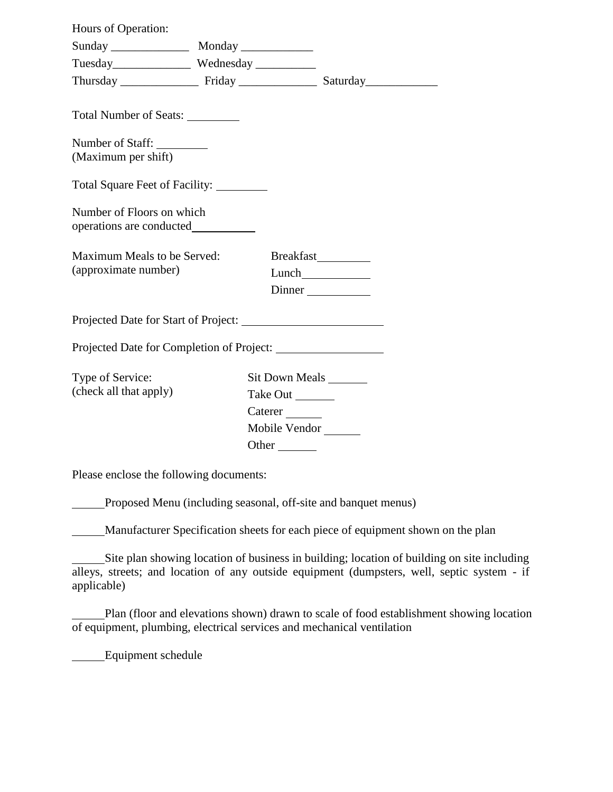| Hours of Operation:                                   |                                                                         |                     |  |  |  |
|-------------------------------------------------------|-------------------------------------------------------------------------|---------------------|--|--|--|
|                                                       |                                                                         |                     |  |  |  |
|                                                       |                                                                         |                     |  |  |  |
|                                                       |                                                                         |                     |  |  |  |
| Total Number of Seats:<br>Number of Staff:            |                                                                         |                     |  |  |  |
| (Maximum per shift)                                   |                                                                         |                     |  |  |  |
| Total Square Feet of Facility:                        |                                                                         |                     |  |  |  |
| Number of Floors on which<br>operations are conducted |                                                                         |                     |  |  |  |
| Maximum Meals to be Served:                           |                                                                         | Breakfast__________ |  |  |  |
| (approximate number)                                  |                                                                         |                     |  |  |  |
|                                                       |                                                                         |                     |  |  |  |
|                                                       |                                                                         |                     |  |  |  |
| Projected Date for Completion of Project:             |                                                                         |                     |  |  |  |
| Type of Service:<br>(check all that apply)            | Sit Down Meals ________<br>Take Out _______<br>Caterer<br>Mobile Vendor |                     |  |  |  |
|                                                       | Other $\qquad$                                                          |                     |  |  |  |
|                                                       |                                                                         |                     |  |  |  |

Please enclose the following documents:

Proposed Menu (including seasonal, off-site and banquet menus)

Manufacturer Specification sheets for each piece of equipment shown on the plan

Site plan showing location of business in building; location of building on site including alleys, streets; and location of any outside equipment (dumpsters, well, septic system - if applicable)

Plan (floor and elevations shown) drawn to scale of food establishment showing location of equipment, plumbing, electrical services and mechanical ventilation

Equipment schedule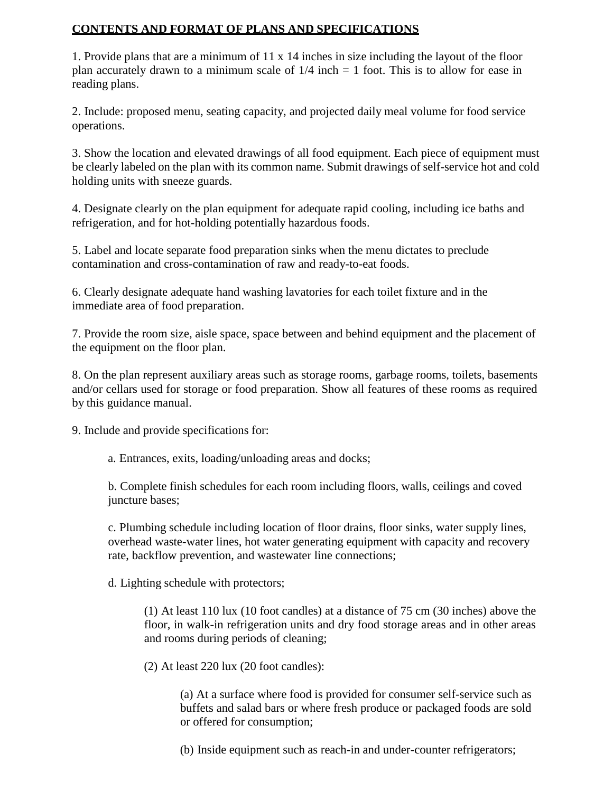#### **CONTENTS AND FORMAT OF PLANS AND SPECIFICATIONS**

1. Provide plans that are a minimum of 11 x 14 inches in size including the layout of the floor plan accurately drawn to a minimum scale of  $1/4$  inch = 1 foot. This is to allow for ease in reading plans.

2. Include: proposed menu, seating capacity, and projected daily meal volume for food service operations.

3. Show the location and elevated drawings of all food equipment. Each piece of equipment must be clearly labeled on the plan with its common name. Submit drawings of self-service hot and cold holding units with sneeze guards.

4. Designate clearly on the plan equipment for adequate rapid cooling, including ice baths and refrigeration, and for hot-holding potentially hazardous foods.

5. Label and locate separate food preparation sinks when the menu dictates to preclude contamination and cross-contamination of raw and ready-to-eat foods.

6. Clearly designate adequate hand washing lavatories for each toilet fixture and in the immediate area of food preparation.

7. Provide the room size, aisle space, space between and behind equipment and the placement of the equipment on the floor plan.

8. On the plan represent auxiliary areas such as storage rooms, garbage rooms, toilets, basements and/or cellars used for storage or food preparation. Show all features of these rooms as required by this guidance manual.

9. Include and provide specifications for:

a. Entrances, exits, loading/unloading areas and docks;

b. Complete finish schedules for each room including floors, walls, ceilings and coved juncture bases;

c. Plumbing schedule including location of floor drains, floor sinks, water supply lines, overhead waste-water lines, hot water generating equipment with capacity and recovery rate, backflow prevention, and wastewater line connections;

d. Lighting schedule with protectors;

(1) At least 110 lux (10 foot candles) at a distance of 75 cm (30 inches) above the floor, in walk-in refrigeration units and dry food storage areas and in other areas and rooms during periods of cleaning;

(2) At least 220 lux (20 foot candles):

(a) At a surface where food is provided for consumer self-service such as buffets and salad bars or where fresh produce or packaged foods are sold or offered for consumption;

(b) Inside equipment such as reach-in and under-counter refrigerators;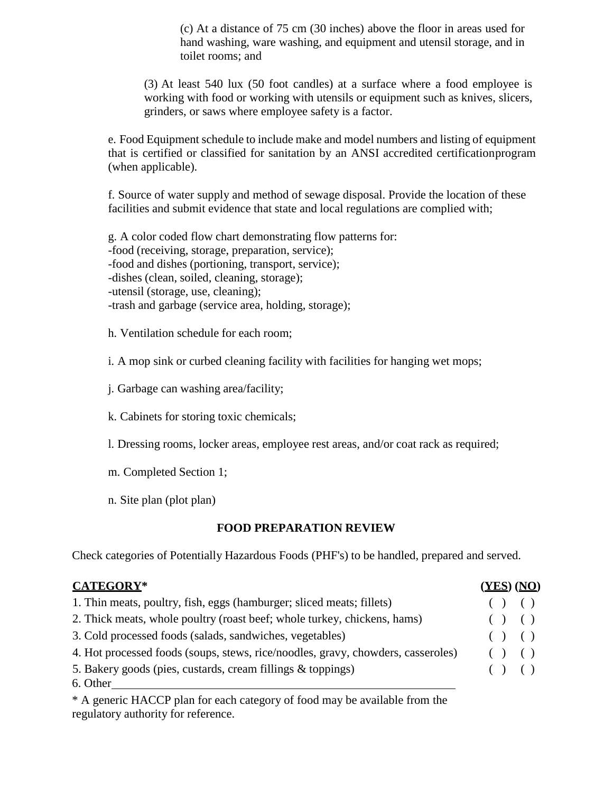(c) At a distance of 75 cm (30 inches) above the floor in areas used for hand washing, ware washing, and equipment and utensil storage, and in toilet rooms; and

(3) At least 540 lux (50 foot candles) at a surface where a food employee is working with food or working with utensils or equipment such as knives, slicers, grinders, or saws where employee safety is a factor.

e. Food Equipment schedule to include make and model numbers and listing of equipment that is certified or classified for sanitation by an ANSI accredited certificationprogram (when applicable).

f. Source of water supply and method of sewage disposal. Provide the location of these facilities and submit evidence that state and local regulations are complied with;

g. A color coded flow chart demonstrating flow patterns for: -food (receiving, storage, preparation, service); -food and dishes (portioning, transport, service); -dishes (clean, soiled, cleaning, storage); -utensil (storage, use, cleaning); -trash and garbage (service area, holding, storage);

h. Ventilation schedule for each room;

i. A mop sink or curbed cleaning facility with facilities for hanging wet mops;

j. Garbage can washing area/facility;

k. Cabinets for storing toxic chemicals;

- l. Dressing rooms, locker areas, employee rest areas, and/or coat rack as required;
- m. Completed Section 1;
- n. Site plan (plot plan)

## **FOOD PREPARATION REVIEW**

Check categories of Potentially Hazardous Foods (PHF's) to be handled, prepared and served.

| <b>CATEGORY*</b>                                                                 | <u>(YES)</u> (NO) |
|----------------------------------------------------------------------------------|-------------------|
| 1. Thin meats, poultry, fish, eggs (hamburger; sliced meats; fillets)            | ( ) ( )           |
| 2. Thick meats, whole poultry (roast beef; whole turkey, chickens, hams)         | ( ) ( )           |
| 3. Cold processed foods (salads, sandwiches, vegetables)                         | ( ) ( )           |
| 4. Hot processed foods (soups, stews, rice/noodles, gravy, chowders, casseroles) | ( ) ( )           |
| 5. Bakery goods (pies, custards, cream fillings & toppings)                      | ( ) ( )           |
| 6. Other                                                                         |                   |

\* A generic HACCP plan for each category of food may be available from the regulatory authority for reference.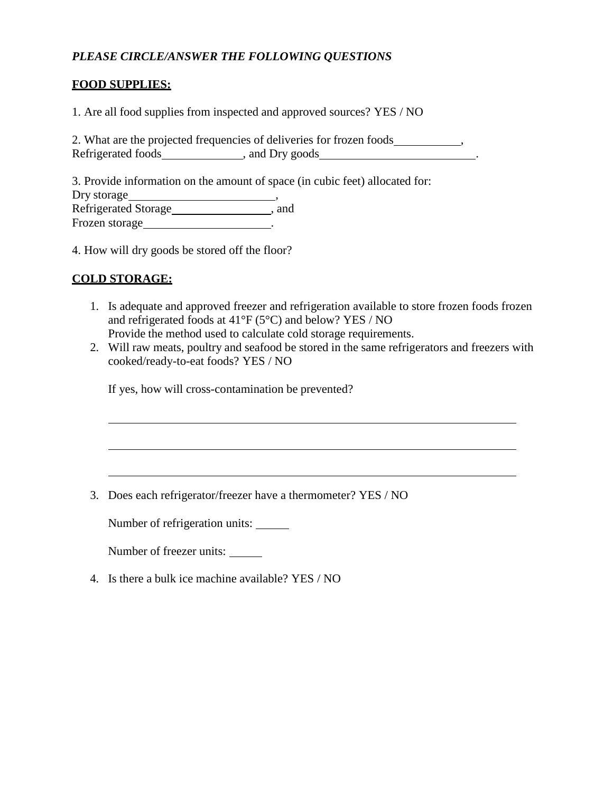## *PLEASE CIRCLE/ANSWER THE FOLLOWING QUESTIONS*

## **FOOD SUPPLIES:**

1. Are all food supplies from inspected and approved sources? YES / NO

2. What are the projected frequencies of deliveries for frozen foods \_\_\_\_\_\_\_\_\_\_\_\_ Refrigerated foods , and Dry goods

3. Provide information on the amount of space (in cubic feet) allocated for: Dry storage , Refrigerated Storage\_\_\_\_\_\_\_\_\_\_\_\_\_\_\_\_\_\_\_\_\_\_, and Frozen storage  $\qquad \qquad \ldots$ 

4. How will dry goods be stored off the floor?

## **COLD STORAGE:**

- 1. Is adequate and approved freezer and refrigeration available to store frozen foods frozen and refrigerated foods at 41°F (5°C) and below? YES / NO Provide the method used to calculate cold storage requirements.
- 2. Will raw meats, poultry and seafood be stored in the same refrigerators and freezers with cooked/ready-to-eat foods? YES / NO

the control of the control of the control of the control of the control of the control of the control of the control of the control of the control of the control of the control of the control of the control of the control

If yes, how will cross-contamination be prevented?

3. Does each refrigerator/freezer have a thermometer? YES / NO

Number of refrigeration units:

Number of freezer units:

4. Is there a bulk ice machine available? YES / NO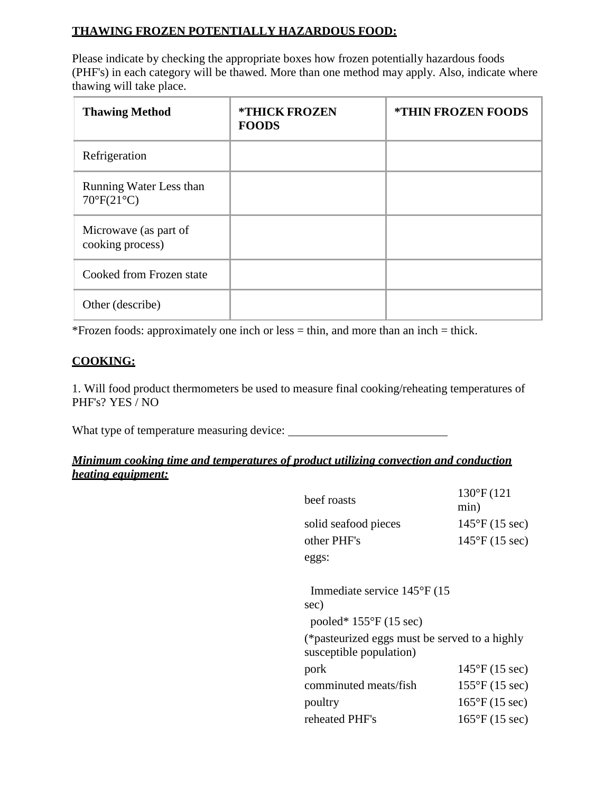## **THAWING FROZEN POTENTIALLY HAZARDOUS FOOD:**

Please indicate by checking the appropriate boxes how frozen potentially hazardous foods (PHF's) in each category will be thawed. More than one method may apply. Also, indicate where thawing will take place.

| <b>Thawing Method</b>                                 | <b>*THICK FROZEN</b><br><b>FOODS</b> | <b>*THIN FROZEN FOODS</b> |
|-------------------------------------------------------|--------------------------------------|---------------------------|
| Refrigeration                                         |                                      |                           |
| Running Water Less than<br>$70^{\circ}F(21^{\circ}C)$ |                                      |                           |
| Microwave (as part of<br>cooking process)             |                                      |                           |
| Cooked from Frozen state                              |                                      |                           |
| Other (describe)                                      |                                      |                           |

\*Frozen foods: approximately one inch or less = thin, and more than an inch = thick.

# **COOKING:**

1. Will food product thermometers be used to measure final cooking/reheating temperatures of PHF's? YES / NO

What type of temperature measuring device:

# *Minimum cooking time and temperatures of product utilizing convection and conduction heating equipment:*

| beef roasts                                                              | $130^{\circ}F(121)$<br>min)    |
|--------------------------------------------------------------------------|--------------------------------|
| solid seafood pieces                                                     | 145°F (15 sec)                 |
| other PHF's                                                              | $145^{\circ}F(15 \text{ sec})$ |
| eggs:                                                                    |                                |
|                                                                          |                                |
| Immediate service $145^{\circ}$ F (15                                    |                                |
| sec)                                                                     |                                |
| pooled* $155^{\circ}F(15 \text{ sec})$                                   |                                |
| (*pasteurized eggs must be served to a highly<br>susceptible population) |                                |
| pork                                                                     | $145^{\circ}F(15 \text{ sec})$ |
| comminuted meats/fish                                                    | $155^{\circ}F(15 \text{ sec})$ |
| poultry                                                                  | $165^{\circ}F(15 \text{ sec})$ |
| reheated PHF's                                                           | $165^{\circ}F(15 \text{ sec})$ |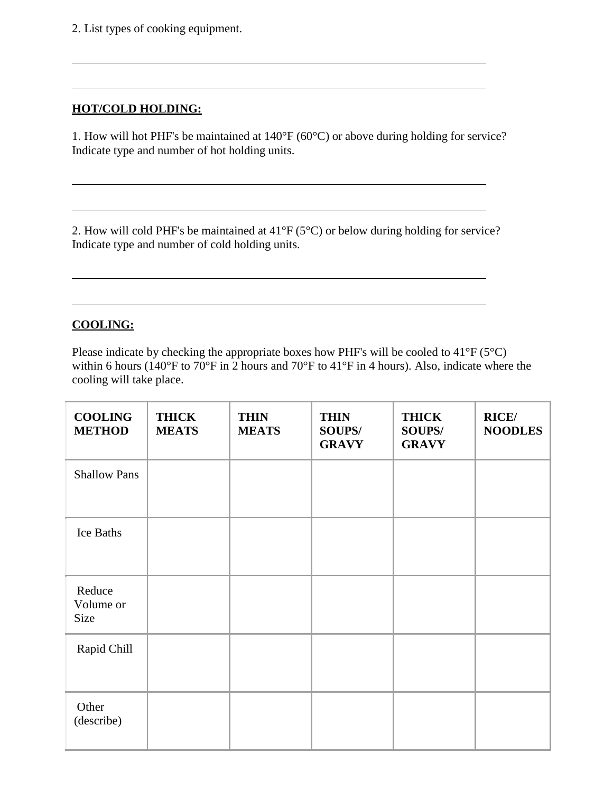2. List types of cooking equipment.

## **HOT/COLD HOLDING:**

1. How will hot PHF's be maintained at 140°F (60°C) or above during holding for service? Indicate type and number of hot holding units.

2. How will cold PHF's be maintained at 41°F (5°C) or below during holding for service? Indicate type and number of cold holding units.

## **COOLING:**

Please indicate by checking the appropriate boxes how PHF's will be cooled to  $41^{\circ}F(5^{\circ}C)$ within 6 hours (140°F to 70°F in 2 hours and 70°F to 41°F in 4 hours). Also, indicate where the cooling will take place.

| <b>COOLING</b><br><b>METHOD</b> | <b>THICK</b><br><b>MEATS</b> | <b>THIN</b><br><b>MEATS</b> | <b>THIN</b><br><b>SOUPS/</b><br><b>GRAVY</b> | <b>THICK</b><br>SOUPS/<br><b>GRAVY</b> | <b>RICE/</b><br><b>NOODLES</b> |
|---------------------------------|------------------------------|-----------------------------|----------------------------------------------|----------------------------------------|--------------------------------|
| <b>Shallow Pans</b>             |                              |                             |                                              |                                        |                                |
| Ice Baths                       |                              |                             |                                              |                                        |                                |
| Reduce<br>Volume or<br>Size     |                              |                             |                                              |                                        |                                |
| Rapid Chill                     |                              |                             |                                              |                                        |                                |
| Other<br>(describe)             |                              |                             |                                              |                                        |                                |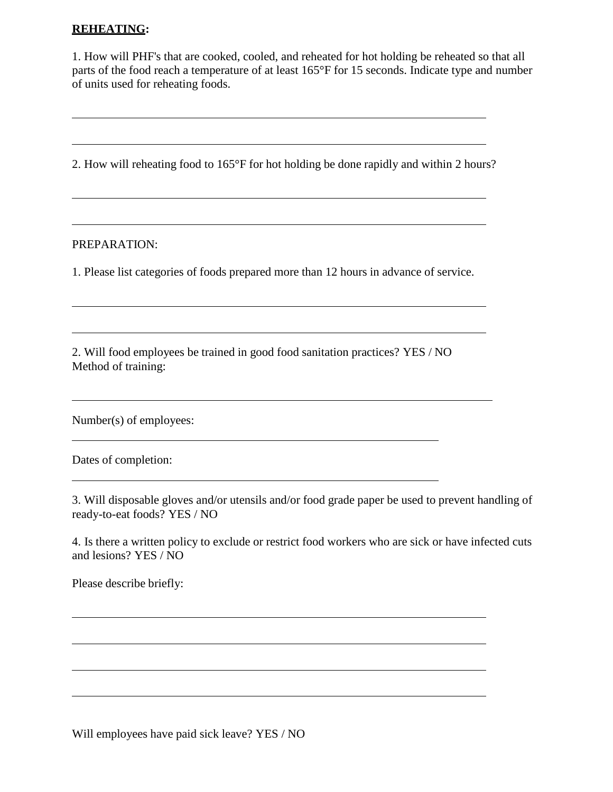#### **REHEATING:**

1. How will PHF's that are cooked, cooled, and reheated for hot holding be reheated so that all parts of the food reach a temperature of at least 165°F for 15 seconds. Indicate type and number of units used for reheating foods.

<u> 1989 - Johann Stoff, deutscher Stoffen und der Stoffen und der Stoffen und der Stoffen und der Stoffen und der</u>

2. How will reheating food to 165°F for hot holding be done rapidly and within 2 hours?

#### PREPARATION:

1. Please list categories of foods prepared more than 12 hours in advance of service.

2. Will food employees be trained in good food sanitation practices? YES / NO Method of training:

Number(s) of employees:

Dates of completion:

3. Will disposable gloves and/or utensils and/or food grade paper be used to prevent handling of ready-to-eat foods? YES / NO

4. Is there a written policy to exclude or restrict food workers who are sick or have infected cuts and lesions? YES / NO

Please describe briefly:

Will employees have paid sick leave? YES / NO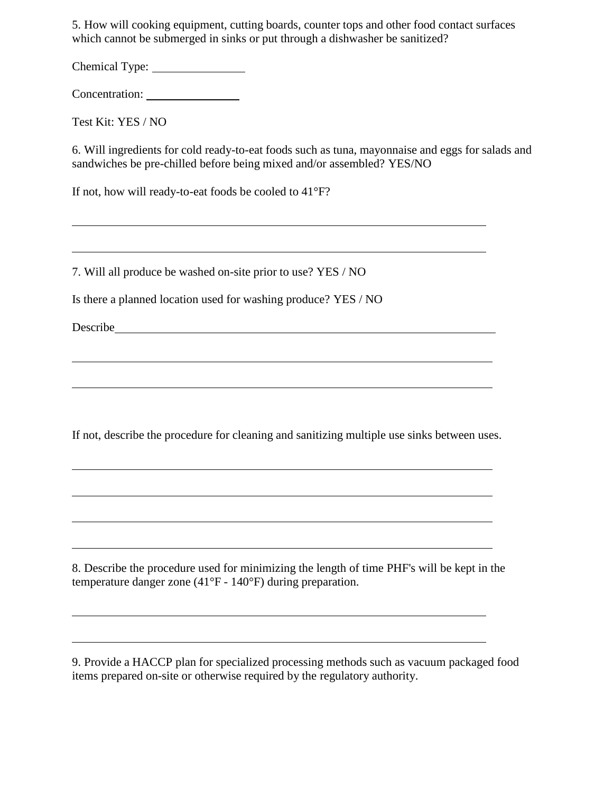5. How will cooking equipment, cutting boards, counter tops and other food contact surfaces which cannot be submerged in sinks or put through a dishwasher be sanitized?

Chemical Type:

Concentration:

Test Kit: YES / NO

6. Will ingredients for cold ready-to-eat foods such as tuna, mayonnaise and eggs for salads and sandwiches be pre-chilled before being mixed and/or assembled? YES/NO

If not, how will ready-to-eat foods be cooled to 41°F?

7. Will all produce be washed on-site prior to use? YES / NO

Is there a planned location used for washing produce? YES / NO

Describe

If not, describe the procedure for cleaning and sanitizing multiple use sinks between uses.

and the control of the control of the control of the control of the control of the control of the control of the

8. Describe the procedure used for minimizing the length of time PHF's will be kept in the temperature danger zone (41°F - 140°F) during preparation.

9. Provide a HACCP plan for specialized processing methods such as vacuum packaged food items prepared on-site or otherwise required by the regulatory authority.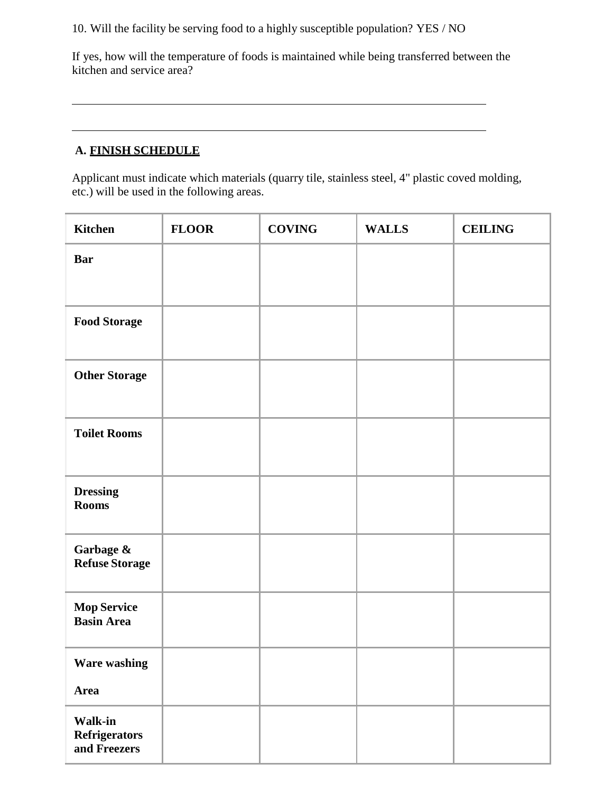10. Will the facility be serving food to a highly susceptible population? YES / NO

If yes, how will the temperature of foods is maintained while being transferred between the kitchen and service area?

# **A. FINISH SCHEDULE**

Applicant must indicate which materials (quarry tile, stainless steel, 4" plastic coved molding, etc.) will be used in the following areas.

| <b>Kitchen</b>                                         | <b>FLOOR</b> | <b>COVING</b> | <b>WALLS</b> | <b>CEILING</b> |
|--------------------------------------------------------|--------------|---------------|--------------|----------------|
| <b>Bar</b>                                             |              |               |              |                |
|                                                        |              |               |              |                |
| <b>Food Storage</b>                                    |              |               |              |                |
| <b>Other Storage</b>                                   |              |               |              |                |
| <b>Toilet Rooms</b>                                    |              |               |              |                |
| <b>Dressing</b><br><b>Rooms</b>                        |              |               |              |                |
| Garbage &<br><b>Refuse Storage</b>                     |              |               |              |                |
| <b>Mop Service</b><br><b>Basin Area</b>                |              |               |              |                |
| <b>Ware washing</b>                                    |              |               |              |                |
| <b>Area</b>                                            |              |               |              |                |
| <b>Walk-in</b><br><b>Refrigerators</b><br>and Freezers |              |               |              |                |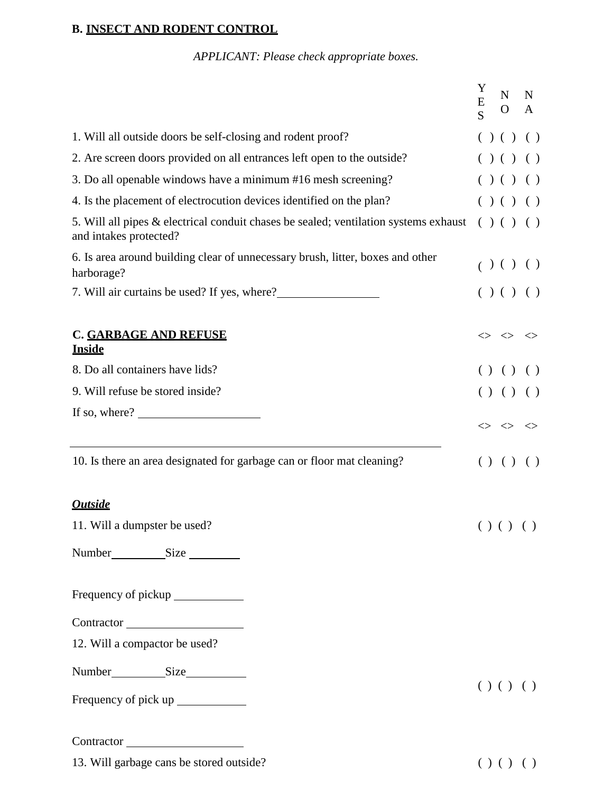## **B. INSECT AND RODENT CONTROL**

*APPLICANT: Please check appropriate boxes.*

|                                                                                                                                                                                                                                                                                                                                                                                                                                             | Y<br>$\overline{\mathrm{E}}$ | N<br>$\overline{O}$                                   | N<br>A |
|---------------------------------------------------------------------------------------------------------------------------------------------------------------------------------------------------------------------------------------------------------------------------------------------------------------------------------------------------------------------------------------------------------------------------------------------|------------------------------|-------------------------------------------------------|--------|
| 1. Will all outside doors be self-closing and rodent proof?                                                                                                                                                                                                                                                                                                                                                                                 |                              | ( ) ( ) ( )                                           |        |
| 2. Are screen doors provided on all entrances left open to the outside?                                                                                                                                                                                                                                                                                                                                                                     |                              | ( ) ( ) ( )                                           |        |
| 3. Do all openable windows have a minimum #16 mesh screening?                                                                                                                                                                                                                                                                                                                                                                               |                              | ( ) ( ) ( )                                           |        |
| 4. Is the placement of electrocution devices identified on the plan?                                                                                                                                                                                                                                                                                                                                                                        |                              | ( ) ( ) ( )                                           |        |
| 5. Will all pipes & electrical conduit chases be sealed; ventilation systems exhaust<br>and intakes protected?                                                                                                                                                                                                                                                                                                                              |                              | ( ) ( ) ( )                                           |        |
| 6. Is area around building clear of unnecessary brush, litter, boxes and other<br>harborage?                                                                                                                                                                                                                                                                                                                                                |                              | ( ) ( ) ( )                                           |        |
| 7. Will air curtains be used? If yes, where?                                                                                                                                                                                                                                                                                                                                                                                                |                              | ( ) ( ) ( )                                           |        |
| <b>C. GARBAGE AND REFUSE</b><br><b>Inside</b>                                                                                                                                                                                                                                                                                                                                                                                               |                              | $\Leftrightarrow$ $\Leftrightarrow$ $\Leftrightarrow$ |        |
| 8. Do all containers have lids?                                                                                                                                                                                                                                                                                                                                                                                                             |                              | () () ()                                              |        |
| 9. Will refuse be stored inside?                                                                                                                                                                                                                                                                                                                                                                                                            |                              | () () ()                                              |        |
| If so, where? $\frac{1}{\sqrt{1-\frac{1}{2}} \cdot \frac{1}{\sqrt{1-\frac{1}{2}} \cdot \frac{1}{\sqrt{1-\frac{1}{2}} \cdot \frac{1}{\sqrt{1-\frac{1}{2}} \cdot \frac{1}{\sqrt{1-\frac{1}{2}} \cdot \frac{1}{\sqrt{1-\frac{1}{2}} \cdot \frac{1}{\sqrt{1-\frac{1}{2}} \cdot \frac{1}{\sqrt{1-\frac{1}{2}} \cdot \frac{1}{\sqrt{1-\frac{1}{2}} \cdot \frac{1}{\sqrt{1-\frac{1}{2}} \cdot \frac{1}{\sqrt{1-\frac{1}{2}} \cdot \frac{1}{\sqrt{$ |                              | $\Leftrightarrow$ $\Leftrightarrow$ $\Leftrightarrow$ |        |
| 10. Is there an area designated for garbage can or floor mat cleaning?                                                                                                                                                                                                                                                                                                                                                                      |                              | () () ()                                              |        |
| <b>Outside</b>                                                                                                                                                                                                                                                                                                                                                                                                                              |                              |                                                       |        |
| 11. Will a dumpster be used?                                                                                                                                                                                                                                                                                                                                                                                                                |                              | ()()()                                                |        |
| Number<br>Size                                                                                                                                                                                                                                                                                                                                                                                                                              |                              |                                                       |        |
|                                                                                                                                                                                                                                                                                                                                                                                                                                             |                              |                                                       |        |
| Contractor                                                                                                                                                                                                                                                                                                                                                                                                                                  |                              |                                                       |        |
| 12. Will a compactor be used?                                                                                                                                                                                                                                                                                                                                                                                                               |                              |                                                       |        |
| Number<br>Size<br>Size                                                                                                                                                                                                                                                                                                                                                                                                                      |                              |                                                       |        |
| Frequency of pick up ______________                                                                                                                                                                                                                                                                                                                                                                                                         |                              | ()()()                                                |        |
| Contractor                                                                                                                                                                                                                                                                                                                                                                                                                                  |                              |                                                       |        |
| 13. Will garbage cans be stored outside?                                                                                                                                                                                                                                                                                                                                                                                                    |                              | () () ()                                              |        |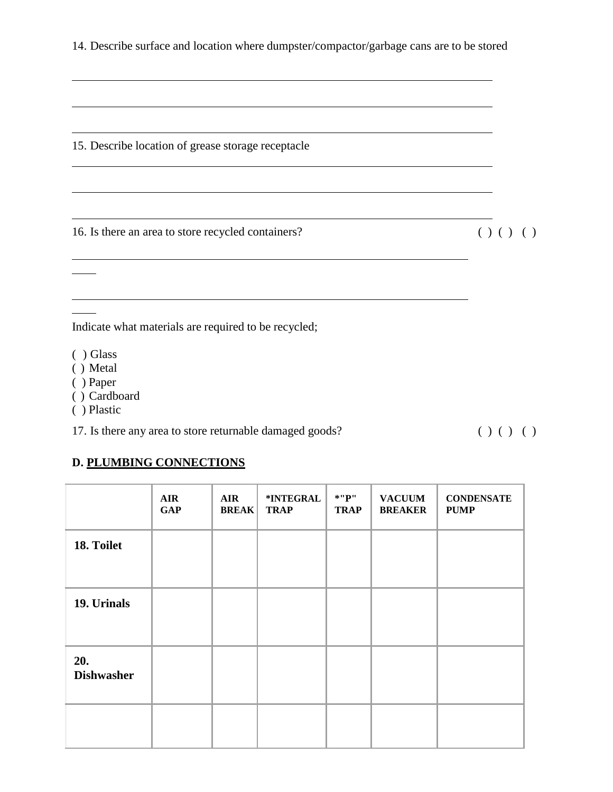15. Describe location of grease storage receptacle

16. Is there an area to store recycled containers? ( ) ( ) ( )

Indicate what materials are required to be recycled;

- ( ) Glass
- ( ) Metal
- ( ) Paper
- ( ) Cardboard
- ( ) Plastic

17. Is there any area to store returnable damaged goods? ( ) ( ) ( )

# **D. PLUMBING CONNECTIONS**

|                          | <b>AIR</b><br><b>GAP</b> | <b>AIR</b><br><b>BREAK</b> | *INTEGRAL<br><b>TRAP</b> | $*$ "P"<br><b>TRAP</b> | <b>VACUUM</b><br><b>BREAKER</b> | <b>CONDENSATE</b><br><b>PUMP</b> |
|--------------------------|--------------------------|----------------------------|--------------------------|------------------------|---------------------------------|----------------------------------|
| 18. Toilet               |                          |                            |                          |                        |                                 |                                  |
| 19. Urinals              |                          |                            |                          |                        |                                 |                                  |
| 20.<br><b>Dishwasher</b> |                          |                            |                          |                        |                                 |                                  |
|                          |                          |                            |                          |                        |                                 |                                  |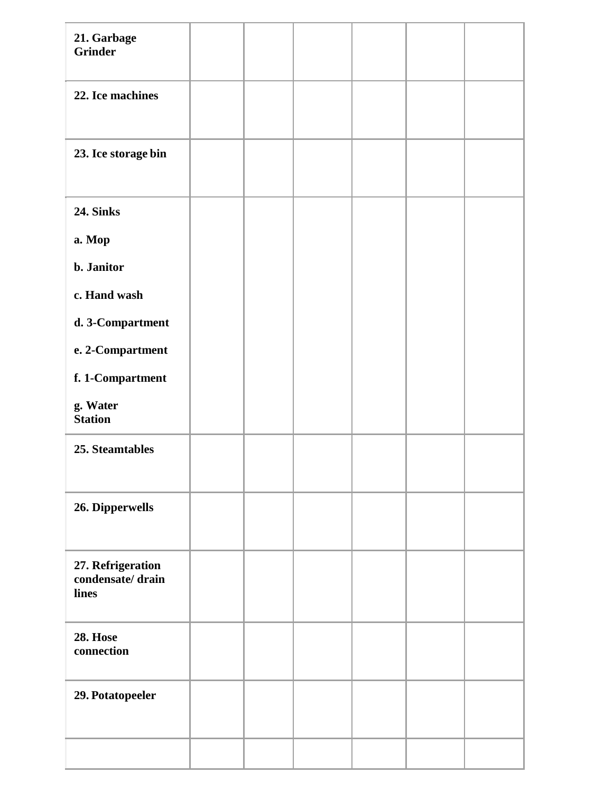| 21. Garbage<br><b>Grinder</b>                  |  |  |  |
|------------------------------------------------|--|--|--|
| 22. Ice machines                               |  |  |  |
| 23. Ice storage bin                            |  |  |  |
| <b>24. Sinks</b>                               |  |  |  |
| a. Mop                                         |  |  |  |
| b. Janitor                                     |  |  |  |
| c. Hand wash                                   |  |  |  |
| d. 3-Compartment                               |  |  |  |
| e. 2-Compartment                               |  |  |  |
| f. 1-Compartment                               |  |  |  |
| g. Water<br><b>Station</b>                     |  |  |  |
| 25. Steamtables                                |  |  |  |
| 26. Dipperwells                                |  |  |  |
| 27. Refrigeration<br>condensate/drain<br>lines |  |  |  |
| <b>28. Hose</b><br>connection                  |  |  |  |
| 29. Potatopeeler                               |  |  |  |
|                                                |  |  |  |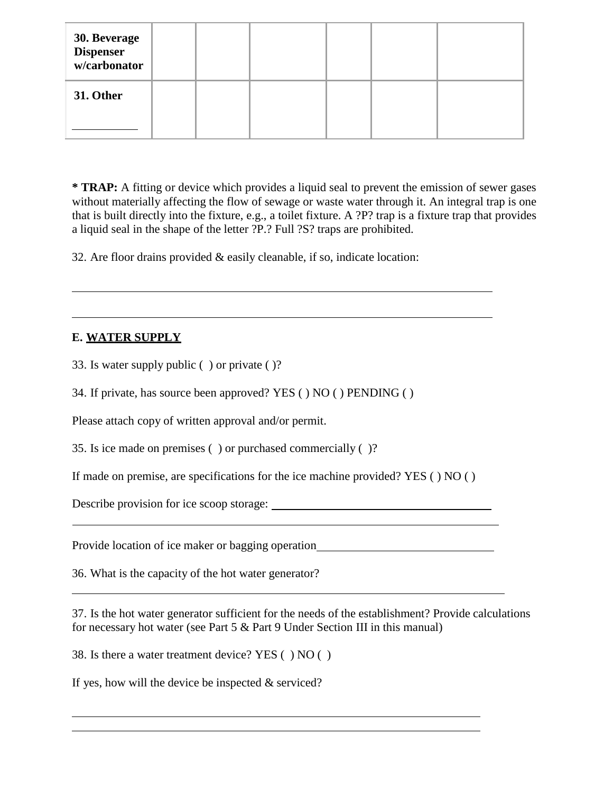| <b>30. Beverage<br/>Dispenser<br/>w/carbonator</b> |  |  |  |
|----------------------------------------------------|--|--|--|
| 31. Other                                          |  |  |  |

**\* TRAP:** A fitting or device which provides a liquid seal to prevent the emission of sewer gases without materially affecting the flow of sewage or waste water through it. An integral trap is one that is built directly into the fixture, e.g., a toilet fixture. A ?P? trap is a fixture trap that provides a liquid seal in the shape of the letter ?P.? Full ?S? traps are prohibited.

32. Are floor drains provided & easily cleanable, if so, indicate location:

# **E. WATER SUPPLY**

33. Is water supply public ( ) or private ( )?

34. If private, has source been approved? YES ( ) NO ( ) PENDING ( )

Please attach copy of written approval and/or permit.

35. Is ice made on premises ( ) or purchased commercially ( )?

If made on premise, are specifications for the ice machine provided? YES ( ) NO ( )

Describe provision for ice scoop storage:

Provide location of ice maker or bagging operation

36. What is the capacity of the hot water generator?

37. Is the hot water generator sufficient for the needs of the establishment? Provide calculations for necessary hot water (see Part 5 & Part 9 Under Section III in this manual)

38. Is there a water treatment device? YES ( ) NO ( )

If yes, how will the device be inspected  $&$  serviced?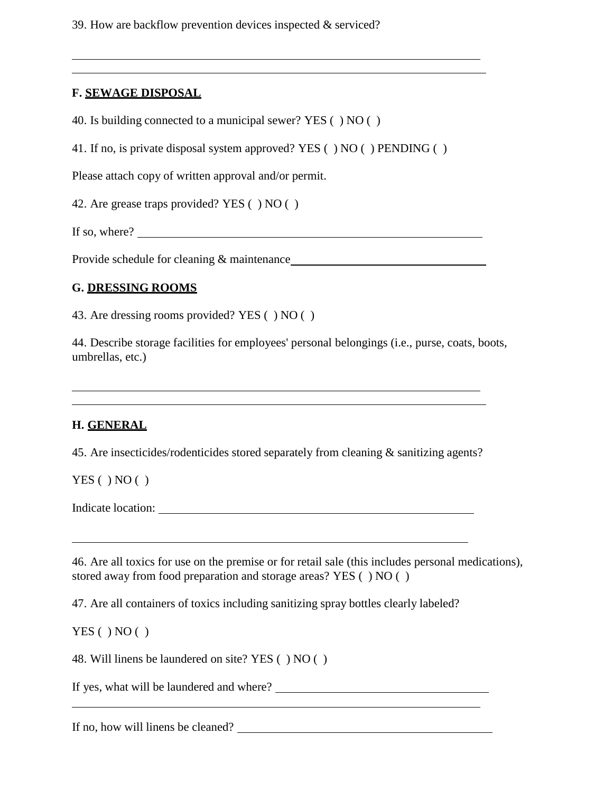39. How are backflow prevention devices inspected & serviced?

#### **F. SEWAGE DISPOSAL**

40. Is building connected to a municipal sewer? YES ( ) NO ( )

41. If no, is private disposal system approved? YES ( ) NO ( ) PENDING ( )

Please attach copy of written approval and/or permit.

42. Are grease traps provided? YES ( ) NO ( )

If so, where?

Provide schedule for cleaning & maintenance

#### **G. DRESSING ROOMS**

43. Are dressing rooms provided? YES ( ) NO ( )

44. Describe storage facilities for employees' personal belongings (i.e., purse, coats, boots, umbrellas, etc.)

#### **H. GENERAL**

45. Are insecticides/rodenticides stored separately from cleaning & sanitizing agents?

 $YES( ) NO( )$ 

Indicate location:

46. Are all toxics for use on the premise or for retail sale (this includes personal medications), stored away from food preparation and storage areas? YES ( ) NO ( )

47. Are all containers of toxics including sanitizing spray bottles clearly labeled?

 $YES( ) NO( )$ 

48. Will linens be laundered on site? YES ( ) NO ( )

If yes, what will be laundered and where?

If no, how will linens be cleaned?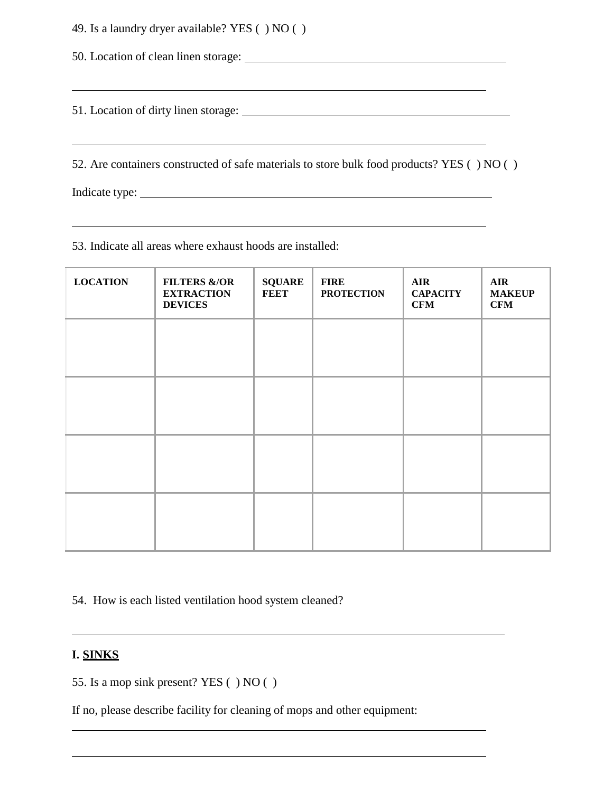49. Is a laundry dryer available? YES ( ) NO ( )

50. Location of clean linen storage:

51. Location of dirty linen storage:

52. Are containers constructed of safe materials to store bulk food products? YES ( ) NO ( )

<u> 1989 - Andrea Stadt Britain, amerikansk politik (\* 1958)</u>

Indicate type:

53. Indicate all areas where exhaust hoods are installed:

| <b>LOCATION</b> | <b>FILTERS &amp;/OR</b><br><b>EXTRACTION</b><br><b>DEVICES</b> | <b>SQUARE</b><br><b>FEET</b> | <b>FIRE</b><br><b>PROTECTION</b> | <b>AIR</b><br><b>CAPACITY</b><br><b>CFM</b> | <b>AIR</b><br><b>MAKEUP</b><br><b>CFM</b> |
|-----------------|----------------------------------------------------------------|------------------------------|----------------------------------|---------------------------------------------|-------------------------------------------|
|                 |                                                                |                              |                                  |                                             |                                           |
|                 |                                                                |                              |                                  |                                             |                                           |
|                 |                                                                |                              |                                  |                                             |                                           |
|                 |                                                                |                              |                                  |                                             |                                           |
|                 |                                                                |                              |                                  |                                             |                                           |

54. How is each listed ventilation hood system cleaned?

#### **I. SINKS**

55. Is a mop sink present? YES ( ) NO ( )

If no, please describe facility for cleaning of mops and other equipment: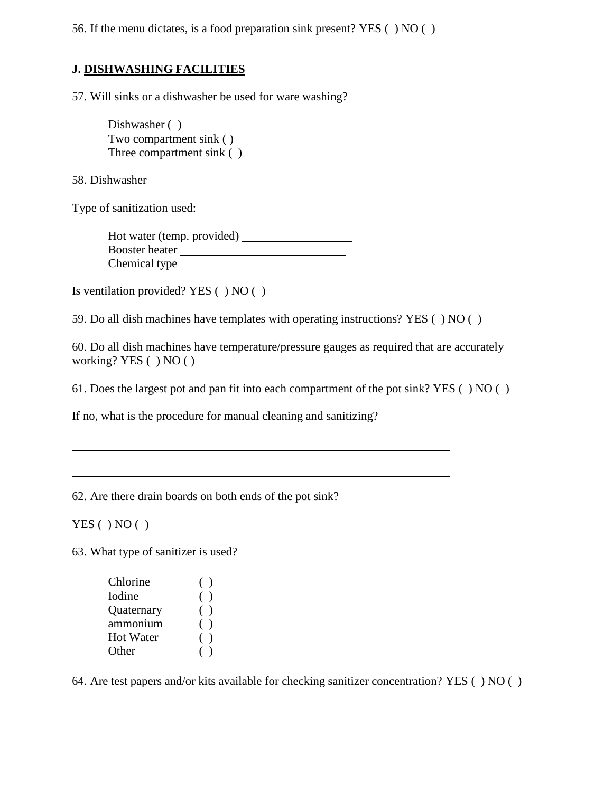56. If the menu dictates, is a food preparation sink present? YES ( ) NO ( )

# **J. DISHWASHING FACILITIES**

57. Will sinks or a dishwasher be used for ware washing?

Dishwasher ( ) Two compartment sink ( ) Three compartment sink ( )

58. Dishwasher

Type of sanitization used:

Hot water (temp. provided) Booster heater Chemical type

Is ventilation provided? YES ( ) NO ( )

59. Do all dish machines have templates with operating instructions? YES ( ) NO ( )

60. Do all dish machines have temperature/pressure gauges as required that are accurately working? YES ( ) NO ( )

61. Does the largest pot and pan fit into each compartment of the pot sink? YES ( ) NO ( )

If no, what is the procedure for manual cleaning and sanitizing?

62. Are there drain boards on both ends of the pot sink?

 $YES()NO()$ 

63. What type of sanitizer is used?

| Chlorine         | $($ ) |
|------------------|-------|
| Iodine           | ( )   |
| Quaternary       | ( )   |
| ammonium         | $($ ) |
| <b>Hot Water</b> | 0     |
| Other            |       |

64. Are test papers and/or kits available for checking sanitizer concentration? YES ( ) NO ( )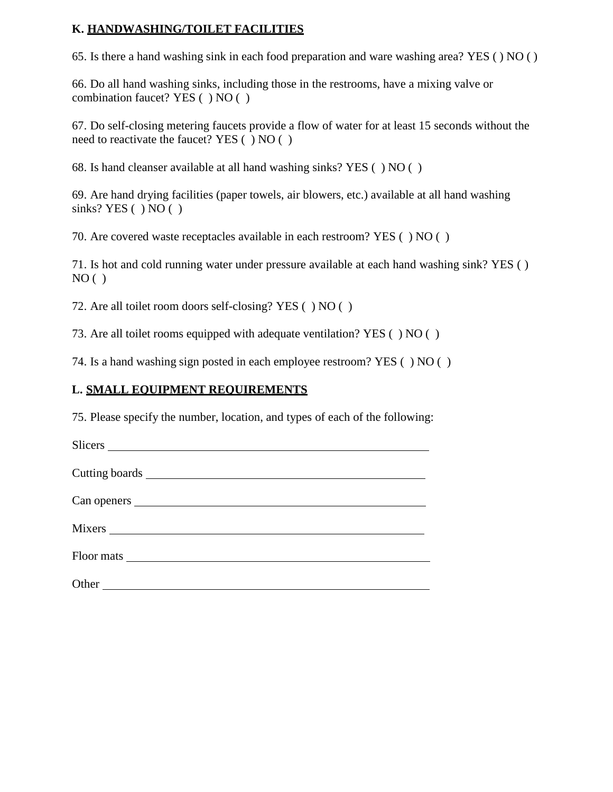## **K. HANDWASHING/TOILET FACILITIES**

65. Is there a hand washing sink in each food preparation and ware washing area? YES ( ) NO ( )

66. Do all hand washing sinks, including those in the restrooms, have a mixing valve or combination faucet? YES ( ) NO ( )

67. Do self-closing metering faucets provide a flow of water for at least 15 seconds without the need to reactivate the faucet? YES ( ) NO ( )

68. Is hand cleanser available at all hand washing sinks? YES ( ) NO ( )

69. Are hand drying facilities (paper towels, air blowers, etc.) available at all hand washing sinks? YES ( ) NO ( )

70. Are covered waste receptacles available in each restroom? YES ( ) NO ( )

71. Is hot and cold running water under pressure available at each hand washing sink? YES ( )  $NO( )$ 

72. Are all toilet room doors self-closing? YES ( ) NO ( )

73. Are all toilet rooms equipped with adequate ventilation? YES ( ) NO ( )

74. Is a hand washing sign posted in each employee restroom? YES ( ) NO ( )

# **L. SMALL EQUIPMENT REQUIREMENTS**

75. Please specify the number, location, and types of each of the following:

| Other |
|-------|